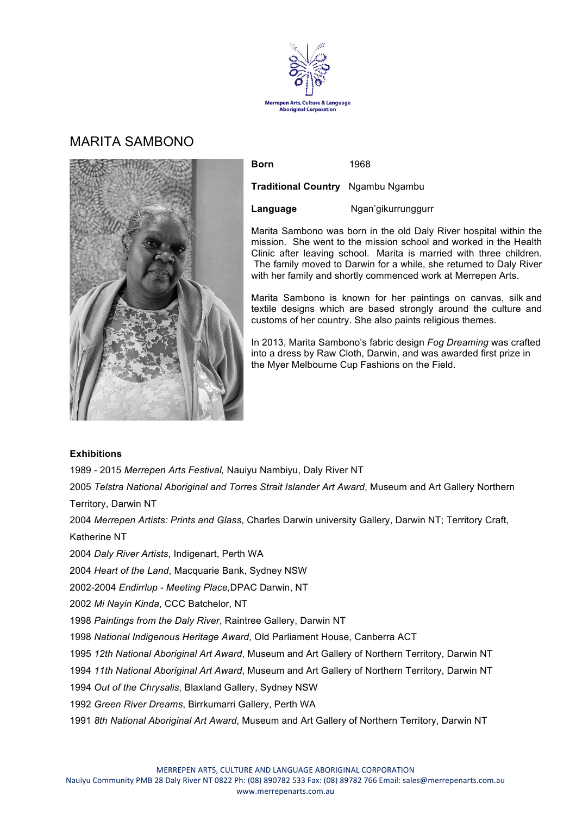

# MARITA SAMBONO



| <b>Born</b>                              | 1968               |
|------------------------------------------|--------------------|
| <b>Traditional Country</b> Ngambu Ngambu |                    |
| Language                                 | Ngan'gikurrunggurr |

Marita Sambono was born in the old Daly River hospital within the mission. She went to the mission school and worked in the Health Clinic after leaving school. Marita is married with three children. The family moved to Darwin for a while, she returned to Daly River with her family and shortly commenced work at Merrepen Arts.

Marita Sambono is known for her paintings on canvas, silk and textile designs which are based strongly around the culture and customs of her country. She also paints religious themes.

In 2013, Marita Sambono's fabric design *Fog Dreaming* was crafted into a dress by Raw Cloth, Darwin, and was awarded first prize in the Myer Melbourne Cup Fashions on the Field.

### **Exhibitions**

1989 - 2015 *Merrepen Arts Festival,* Nauiyu Nambiyu, Daly River NT

2005 *Telstra National Aboriginal and Torres Strait Islander Art Award*, Museum and Art Gallery Northern Territory, Darwin NT

2004 *Merrepen Artists: Prints and Glass*, Charles Darwin university Gallery, Darwin NT; Territory Craft,

Katherine NT

2004 *Daly River Artists*, Indigenart, Perth WA

2004 *Heart of the Land*, Macquarie Bank, Sydney NSW

2002-2004 *Endirrlup - Meeting Place,*DPAC Darwin, NT

2002 *Mi Nayin Kinda*, CCC Batchelor, NT

1998 *Paintings from the Daly River*, Raintree Gallery, Darwin NT

1998 *National Indigenous Heritage Award*, Old Parliament House, Canberra ACT

1995 *12th National Aboriginal Art Award*, Museum and Art Gallery of Northern Territory, Darwin NT

1994 *11th National Aboriginal Art Award*, Museum and Art Gallery of Northern Territory, Darwin NT

1994 *Out of the Chrysalis*, Blaxland Gallery, Sydney NSW

1992 *Green River Dreams*, Birrkumarri Gallery, Perth WA

1991 *8th National Aboriginal Art Award*, Museum and Art Gallery of Northern Territory, Darwin NT